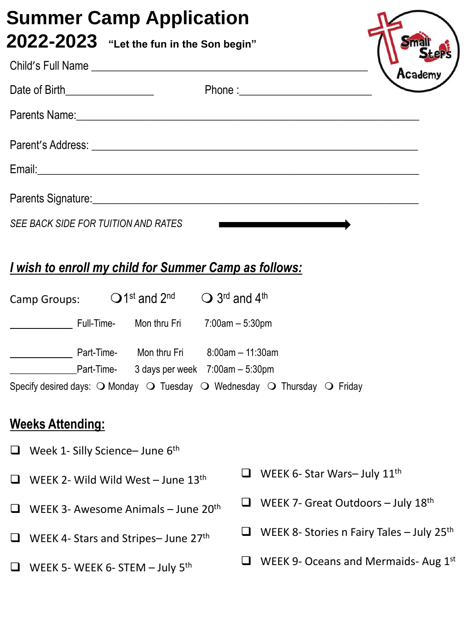| <b>Summer Camp Application</b>   |                                                                                                                                                                                                                                |         |  |  |
|----------------------------------|--------------------------------------------------------------------------------------------------------------------------------------------------------------------------------------------------------------------------------|---------|--|--|
|                                  | $2022$ - $2023$ "Let the fun in the Son begin"                                                                                                                                                                                 |         |  |  |
|                                  |                                                                                                                                                                                                                                | Academy |  |  |
| Date of Birth___________________ |                                                                                                                                                                                                                                |         |  |  |
|                                  | Parents Name: 2008 and 2008 and 2008 and 2008 and 2008 and 2008 and 2008 and 2008 and 2008 and 2008 and 2008 and 2008 and 2008 and 2008 and 2008 and 2008 and 2008 and 2008 and 2008 and 2008 and 2008 and 2008 and 2008 and 2 |         |  |  |
|                                  |                                                                                                                                                                                                                                |         |  |  |
|                                  |                                                                                                                                                                                                                                |         |  |  |
|                                  | Parents Signature: Note and the set of the set of the set of the set of the set of the set of the set of the set of the set of the set of the set of the set of the set of the set of the set of the set of the set of the set |         |  |  |

## *I wish to enroll my child for Summer Camp as follows:*

| Camp Groups: |            | $\bigcirc$ 1 <sup>st</sup> and 2 <sup>nd</sup> | $\bigcirc$ 3 <sup>rd</sup> and 4 <sup>th</sup>                                                                        |  |  |
|--------------|------------|------------------------------------------------|-----------------------------------------------------------------------------------------------------------------------|--|--|
|              | Full-Time- | Mon thru Fri                                   | 7:00am – 5:30pm                                                                                                       |  |  |
|              | Part-Time- |                                                | Mon thru Fri $8:00am - 11:30am$                                                                                       |  |  |
|              | Part-Time- |                                                | 3 days per week $7:00am - 5:30pm$                                                                                     |  |  |
|              |            |                                                | Specify desired days: $\bigcirc$ Monday $\bigcirc$ Tuesday $\bigcirc$ Wednesday $\bigcirc$ Thursday $\bigcirc$ Friday |  |  |

## **Weeks Attending:**

- ❑ Week 1- Silly Science– June 6th
- $\Box$  WEEK 2- Wild Wild West June 13<sup>th</sup>
- $\Box$  WEEK 3- Awesome Animals June 20<sup>th</sup>
- ❑ WEEK 4- Stars and Stripes– June 27th
- ❑ WEEK 5- WEEK 6- STEM July 5th
- ❑ WEEK 6- Star Wars– July 11th
- ❑ WEEK 7- Great Outdoors July 18th
- ❑ WEEK 8- Stories n Fairy Tales July 25th
- ❑ WEEK 9- Oceans and Mermaids- Aug 1st